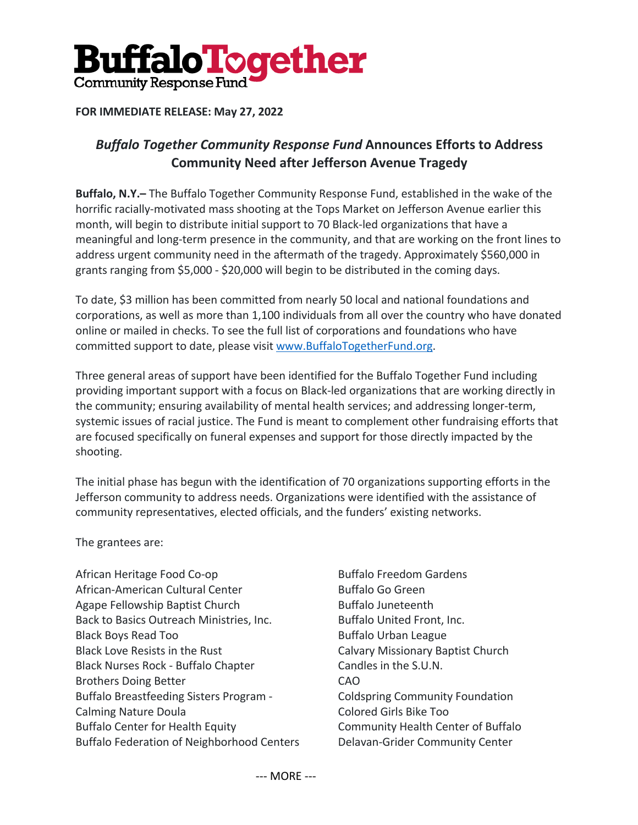

## **FOR IMMEDIATE RELEASE: May 27, 2022**

## *Buffalo Together Community Response Fund* **Announces Efforts to Address Community Need after Jefferson Avenue Tragedy**

**Buffalo, N.Y.–** The Buffalo Together Community Response Fund, established in the wake of the horrific racially-motivated mass shooting at the Tops Market on Jefferson Avenue earlier this month, will begin to distribute initial support to 70 Black-led organizations that have a meaningful and long-term presence in the community, and that are working on the front lines to address urgent community need in the aftermath of the tragedy. Approximately \$560,000 in grants ranging from \$5,000 - \$20,000 will begin to be distributed in the coming days.

To date, \$3 million has been committed from nearly 50 local and national foundations and corporations, as well as more than 1,100 individuals from all over the country who have donated online or mailed in checks. To see the full list of corporations and foundations who have committed support to date, please visit www.BuffaloTogetherFund.org.

Three general areas of support have been identified for the Buffalo Together Fund including providing important support with a focus on Black-led organizations that are working directly in the community; ensuring availability of mental health services; and addressing longer-term, systemic issues of racial justice. The Fund is meant to complement other fundraising efforts that are focused specifically on funeral expenses and support for those directly impacted by the shooting.

The initial phase has begun with the identification of 70 organizations supporting efforts in the Jefferson community to address needs. Organizations were identified with the assistance of community representatives, elected officials, and the funders' existing networks.

The grantees are:

- African Heritage Food Co-op African-American Cultural Center Agape Fellowship Baptist Church Back to Basics Outreach Ministries, Inc. Black Boys Read Too Black Love Resists in the Rust Black Nurses Rock - Buffalo Chapter Brothers Doing Better Buffalo Breastfeeding Sisters Program - Calming Nature Doula Buffalo Center for Health Equity Buffalo Federation of Neighborhood Centers
- Buffalo Freedom Gardens Buffalo Go Green Buffalo Juneteenth Buffalo United Front, Inc. Buffalo Urban League Calvary Missionary Baptist Church Candles in the S.U.N. CAO Coldspring Community Foundation Colored Girls Bike Too Community Health Center of Buffalo Delavan-Grider Community Center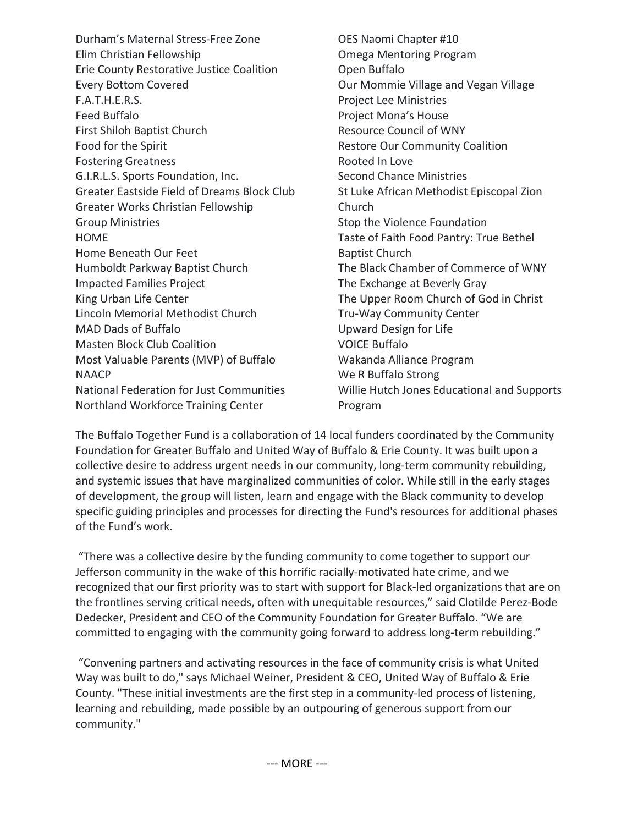Durham's Maternal Stress-Free Zone Elim Christian Fellowship Erie County Restorative Justice Coalition Every Bottom Covered F.A.T.H.E.R.S. Feed Buffalo First Shiloh Baptist Church Food for the Spirit Fostering Greatness G.I.R.L.S. Sports Foundation, Inc. Greater Eastside Field of Dreams Block Club Greater Works Christian Fellowship Group Ministries HOME Home Beneath Our Feet Humboldt Parkway Baptist Church Impacted Families Project King Urban Life Center Lincoln Memorial Methodist Church MAD Dads of Buffalo Masten Block Club Coalition Most Valuable Parents (MVP) of Buffalo NAACP National Federation for Just Communities Northland Workforce Training Center

OES Naomi Chapter #10 Omega Mentoring Program Open Buffalo Our Mommie Village and Vegan Village Project Lee Ministries Project Mona's House Resource Council of WNY Restore Our Community Coalition Rooted In Love Second Chance Ministries St Luke African Methodist Episcopal Zion Church Stop the Violence Foundation Taste of Faith Food Pantry: True Bethel Baptist Church The Black Chamber of Commerce of WNY The Exchange at Beverly Gray The Upper Room Church of God in Christ Tru-Way Community Center Upward Design for Life VOICE Buffalo Wakanda Alliance Program We R Buffalo Strong Willie Hutch Jones Educational and Supports Program

The Buffalo Together Fund is a collaboration of 14 local funders coordinated by the Community Foundation for Greater Buffalo and United Way of Buffalo & Erie County. It was built upon a collective desire to address urgent needs in our community, long-term community rebuilding, and systemic issues that have marginalized communities of color. While still in the early stages of development, the group will listen, learn and engage with the Black community to develop specific guiding principles and processes for directing the Fund's resources for additional phases of the Fund's work.

"There was a collective desire by the funding community to come together to support our Jefferson community in the wake of this horrific racially-motivated hate crime, and we recognized that our first priority was to start with support for Black-led organizations that are on the frontlines serving critical needs, often with unequitable resources," said Clotilde Perez-Bode Dedecker, President and CEO of the Community Foundation for Greater Buffalo. "We are committed to engaging with the community going forward to address long-term rebuilding."

"Convening partners and activating resources in the face of community crisis is what United Way was built to do," says Michael Weiner, President & CEO, United Way of Buffalo & Erie County. "These initial investments are the first step in a community-led process of listening, learning and rebuilding, made possible by an outpouring of generous support from our community."